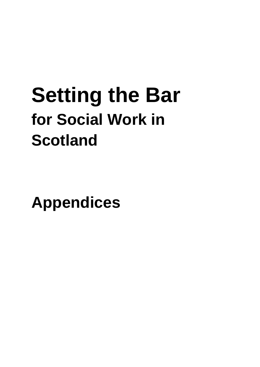# **Setting the Bar for Social Work in Scotland**

**Appendices**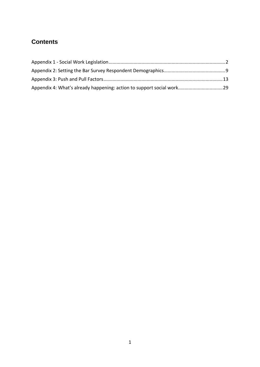# **Contents**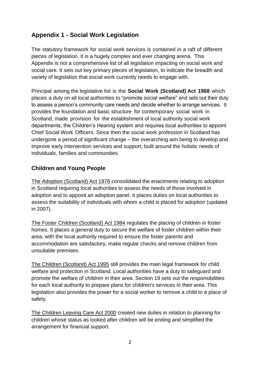# <span id="page-2-0"></span>**Appendix 1 - Social Work Legislation**

The statutory framework for social work services is contained in a raft of different pieces of legislation. It is a hugely complex and ever changing arena. This Appendix is not a comprehensive list of all legislation impacting on social work and social care. It sets out key primary pieces of legislation, to indicate the breadth and variety of legislation that social work currently needs to engage with.

Principal among the legislative list is the **Social Work (Scotland) Act 1968** which places a duty on all local authorities to "promote social welfare" and sets out their duty to assess a person's community care needs and decide whether to arrange services. It provides the foundation and basic structure for contemporary social work in Scotland, made provision for the establishment of local authority social work departments, the Children's Hearing system and requires local authorities to appoint Chief Social Work Officers. Since then the social work profession in Scotland has undergone a period of significant change – the overarching aim being to develop and improve early intervention services and support; built around the holistic needs of individuals, families and communities.

## **Children and Young People**

The Adoption (Scotland) Act 1978 consolidated the enactments relating to adoption in Scotland requiring local authorities to assess the needs of those involved in adoption and to appoint an adoption panel. It places duties on local authorities to assess the suitability of individuals with whom a child is placed for adoption (updated in 2007).

The Foster Children (Scotland) Act 1984 regulates the placing of children in foster homes. It places a general duty to secure the welfare of foster children within their area, with the local authority required to ensure the foster parents and accommodation are satisfactory, make regular checks and remove children from unsuitable premises.

The Children (Scotland) Act 1995 still provides the main legal framework for child welfare and protection in Scotland. Local authorities have a duty to safeguard and promote the welfare of children in their area. Section 19 sets out the responsibilities for each local authority to prepare plans for children's services in their area. This legislation also provides the power for a social worker to remove a child to a place of safety.

The Children Leaving Care Act 2000 created new duties in relation to planning for children whose status as looked after children will be ending and simplified the arrangement for financial support.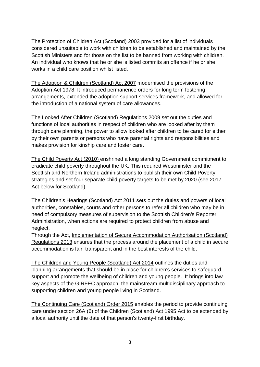The Protection of Children Act (Scotland) 2003 provided for a list of individuals considered unsuitable to work with children to be established and maintained by the Scottish Ministers and for those on the list to be banned from working with children. An individual who knows that he or she is listed commits an offence if he or she works in a child care position whilst listed.

The Adoption & Children (Scotland) Act 2007 modernised the provisions of the Adoption Act 1978. It introduced permanence orders for long term fostering arrangements, extended the adoption support services framework, and allowed for the introduction of a national system of care allowances.

The Looked After Children (Scotland) Regulations 2009 set out the duties and functions of local authorities in respect of children who are looked after by them through care planning, the power to allow looked after children to be cared for either by their own parents or persons who have parental rights and responsibilities and makes provision for kinship care and foster care.

The Child Poverty Act (2010) enshrined a long standing Government commitment to eradicate child poverty throughout the UK. This required Westminster and the Scottish and Northern Ireland administrations to publish their own Child Poverty strategies and set four separate child poverty targets to be met by 2020 (see 2017 Act below for Scotland).

The Children's Hearings (Scotland) Act 2011 sets out the duties and powers of local authorities, constables, courts and other persons to refer all children who may be in need of compulsory measures of supervision to the Scottish Children's Reporter Administration, when actions are required to protect children from abuse and neglect.

Through the Act, Implementation of Secure Accommodation Authorisation (Scotland) Regulations 2013 ensures that the process around the placement of a child in secure accommodation is fair, transparent and in the best interests of the child.

The Children and Young People (Scotland) Act 2014 outlines the duties and planning arrangements that should be in place for children's services to safeguard, support and promote the wellbeing of children and young people. It brings into law key aspects of the GIRFEC approach, the mainstream multidisciplinary approach to supporting children and young people living in Scotland.

The Continuing Care (Scotland) Order 2015 enables the period to provide continuing care under section 26A (6) of the Children (Scotland) Act 1995 Act to be extended by a local authority until the date of that person's twenty-first birthday.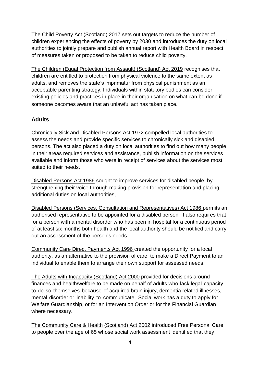The Child Poverty Act (Scotland) 2017 sets out targets to reduce the number of children experiencing the effects of poverty by 2030 and introduces the duty on local authorities to jointly prepare and publish annual report with Health Board in respect of measures taken or proposed to be taken to reduce child poverty.

The [Children \(Equal Protection from Assault\) \(Scotland\) Act 2019](https://www.legislation.gov.uk/asp/2019/16/contents) recognises that children are entitled to protection from physical violence to the same extent as adults, and removes the state's imprimatur from physical punishment as an acceptable parenting strategy. Individuals within statutory bodies can consider existing policies and practices in place in their organisation on what can be done if someone becomes aware that an unlawful act has taken place.

## **Adults**

Chronically Sick and Disabled Persons Act 1972 compelled local authorities to assess the needs and provide specific services to chronically sick and disabled persons. The act also placed a duty on local authorities to find out how many people in their areas required services and assistance, publish information on the services available and inform those who were in receipt of services about the services most suited to their needs.

Disabled Persons Act 1986 sought to improve services for disabled people, by strengthening their voice through making provision for representation and placing additional duties on local authorities,

Disabled Persons (Services, Consultation and Representatives) Act 1986 permits an authorised representative to be appointed for a disabled person. It also requires that for a person with a mental disorder who has been in hospital for a continuous period of at least six months both health and the local authority should be notified and carry out an assessment of the person's needs.

Community Care Direct Payments Act 1996 created the opportunity for a local authority, as an alternative to the provision of care, to make a Direct Payment to an individual to enable them to arrange their own support for assessed needs.

The Adults with Incapacity (Scotland) Act 2000 provided for decisions around finances and health/welfare to be made on behalf of adults who lack legal capacity to do so themselves because of acquired brain injury, dementia related illnesses, mental disorder or inability to communicate. Social work has a duty to apply for Welfare Guardianship, or for an Intervention Order or for the Financial Guardian where necessary.

The Community Care & Health (Scotland) Act 2002 introduced Free Personal Care to people over the age of 65 whose social work assessment identified that they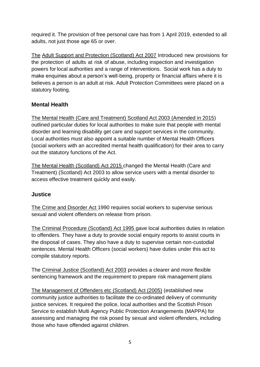required it. The provision of free personal care has from 1 April 2019, extended to all adults, not just those age 65 or over.

The Adult Support and Protection (Scotland) Act 2007 Introduced new provisions for the protection of adults at risk of abuse, including inspection and investigation powers for local authorities and a range of interventions. Social work has a duty to make enquiries about a person's well-being, property or financial affairs where it is believes a person is an adult at risk. Adult Protection Committees were placed on a statutory footing.

## **Mental Health**

The Mental Health (Care and Treatment) Scotland Act 2003 (Amended in 2015) outlined particular duties for local authorities to make sure that people with mental disorder and learning disability get care and support services in the community. Local authorities must also appoint a suitable number of Mental Health Officers (social workers with an accredited mental health qualification) for their area to carry out the statutory functions of the Act.

The Mental Health (Scotland) Act 2015 changed the Mental Health (Care and Treatment) (Scotland) Act 2003 to allow service users with a mental disorder to access effective treatment quickly and easily.

### **Justice**

The Crime and Disorder Act 1990 requires social workers to supervise serious sexual and violent offenders on release from prison.

The Criminal Procedure (Scotland) Act 1995 gave local authorities duties in relation to offenders. They have a duty to provide social enquiry reports to assist courts in the disposal of cases. They also have a duty to supervise certain non-custodial sentences. Mental Health Officers (social workers) have duties under this act to compile statutory reports.

The Criminal Justice (Scotland) Act 2003 provides a clearer and more flexible sentencing framework and the requirement to prepare risk management plans

The Management of Offenders etc (Scotland) Act (2005) (established new community justice authorities to facilitate the co-ordinated delivery of community justice services. It required the police, local authorities and the Scottish Prison Service to establish Multi Agency Public Protection Arrangements (MAPPA) for assessing and managing the risk posed by sexual and violent offenders, including those who have offended against children.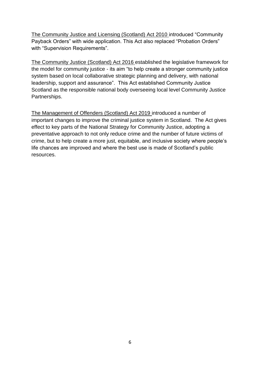The Community Justice and Licensing (Scotland) Act 2010 introduced "Community Payback Orders" with wide application. This Act also replaced "Probation Orders" with "Supervision Requirements".

The Community Justice (Scotland) Act 2016 established the legislative framework for the model for community justice - its aim "to help create a stronger community justice system based on local collaborative strategic planning and delivery, with national leadership, support and assurance". This Act established Community Justice Scotland as the responsible national body overseeing local level Community Justice Partnerships.

The Management of Offenders (Scotland) Act 2019 introduced a number of important changes to improve the criminal justice system in Scotland. The Act gives effect to key parts of the National Strategy for Community Justice, adopting a preventative approach to not only reduce crime and the number of future victims of crime, but to help create a more just, equitable, and inclusive society where people's life chances are improved and where the best use is made of Scotland's public resources.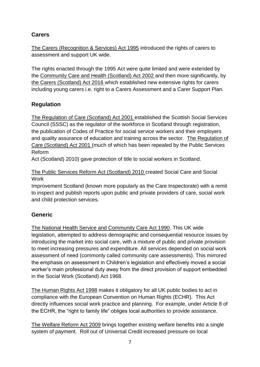# **Carers**

The Carers (Recognition & Services) Act 1995 introduced the rights of carers to assessment and support UK wide.

The rights enacted through the 1995 Act were quite limited and were extended by the Community Care and Health (Scotland) Act 2002 and then more significantly, by the Carers (Scotland) Act 2016 which established new extensive rights for carers including young carers i.e. right to a Carers Assessment and a Carer Support Plan.

## **Regulation**

The Regulation of Care (Scotland) Act 2001 established the Scottish Social Services Council (SSSC) as the regulator of the workforce in Scotland through registration, the publication of Codes of Practice for social service workers and their employers and quality assurance of education and training across the sector. The Regulation of Care (Scotland) Act 2001 (much of which has been repealed by the Public Services Reform

Act (Scotland) 2010) gave protection of title to social workers in Scotland.

The Public Services Reform Act (Scotland) 2010 created Social Care and Social **Work** 

Improvement Scotland (known more popularly as the Care Inspectorate) with a remit to inspect and publish reports upon public and private providers of care, social work and child protection services.

# **Generic**

The National Health Service and Community Care Act 1990. This UK wide legislation, attempted to address demographic and consequential resource issues by introducing the market into social care, with a mixture of public and private provision to meet increasing pressures and expenditure. All services depended on social work assessment of need (commonly called community care assessments). This mirrored the emphasis on assessment in Children's legislation and effectively moved a social worker's main professional duty away from the direct provision of support embedded in the Social Work (Scotland) Act 1968.

The Human Rights Act 1998 makes it obligatory for all UK public bodies to act in compliance with the European Convention on Human Rights (ECHR). This Act directly influences social work practice and planning. For example, under Article 8 of the ECHR, the "right to family life" obliges local authorities to provide assistance.

The Welfare Reform Act 2009 brings together existing welfare benefits into a single system of payment. Roll out of Universal Credit increased pressure on local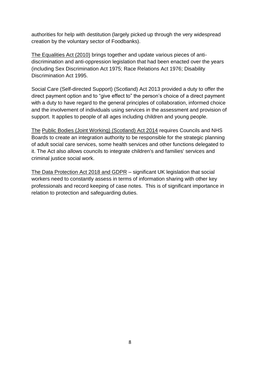authorities for help with destitution (largely picked up through the very widespread creation by the voluntary sector of Foodbanks).

The Equalities Act (2010) brings together and update various pieces of antidiscrimination and anti-oppression legislation that had been enacted over the years (including Sex Discrimination Act 1975; Race Relations Act 1976; Disability Discrimination Act 1995.

Social Care (Self-directed Support) (Scotland) Act 2013 provided a duty to offer the direct payment option and to "give effect to" the person's choice of a direct payment with a duty to have regard to the general principles of collaboration, informed choice and the involvement of individuals using services in the assessment and provision of support. It applies to people of all ages including children and young people.

The Public Bodies (Joint Working) (Scotland) Act 2014 requires Councils and NHS Boards to create an integration authority to be responsible for the strategic planning of adult social care services, some health services and other functions delegated to it. The Act also allows councils to integrate children's and families' services and criminal justice social work.

The Data Protection Act 2018 and GDPR – significant UK legislation that social workers need to constantly assess in terms of information sharing with other key professionals and record keeping of case notes. This is of significant importance in relation to protection and safeguarding duties.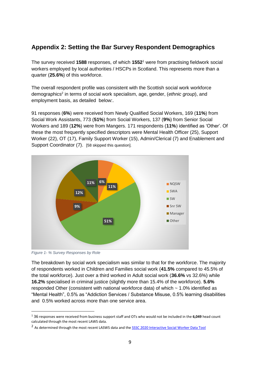## <span id="page-9-0"></span>**Appendix 2: Setting the Bar Survey Respondent Demographics**

The survey received **1588** responses, of which **1552**<sup>1</sup> were from practising fieldwork social workers employed by local authorities / HSCPs in Scotland. This represents more than a quarter (**25.6%**) of this workforce.

The overall respondent profile was consistent with the Scottish social work workforce demographics<sup>2</sup> in terms of social work specialism, age, gender, (ethnic group), and employment basis, as detailed below:.

91 responses (**6%**) were received from Newly Qualified Social Workers, 169 (**11%**) from Social Work Assistants, 773 (**51%**) from Social Workers, 137 (**9%**) from Senior Social Workers and 189 (**12%**) were from Mangers. 171 respondents (**11%**) identified as 'Other'. Of these the most frequently specified descriptors were Mental Health Officer (25), Support Worker (22), OT (17), Family Support Worker (15), Admin/Clerical (7) and Enablement and Support Coordinator (7). [58 skipped this question].



*Figure 1- % Survey Responses by Role*

-

The breakdown by social work specialism was similar to that for the workforce. The majority of respondents worked in Children and Families social work (**41.5%** compared to 45.5% of the total workforce). Just over a third worked in Adult social work (**36.6%** vs 32.6%) while **16.2%** specialised in criminal justice (slightly more than 15.4% of the workforce). **5.6%** responded Other (consistent with national workforce data) of which ~ 1.0% identified as "Mental Health", 0.5% as "Addiction Services / Substance Misuse, 0.5% learning disabilities and 0.5% worked across more than one service area.

<sup>1</sup> 36 responses were received from business support staff and OTs who would not be included in the **6,049** head count calculated through the most recent LAWS data.

<sup>&</sup>lt;sup>2</sup> As determined through the most recent LASWS data and the **SSSC 2020 Interactive Social Worker Data Tool**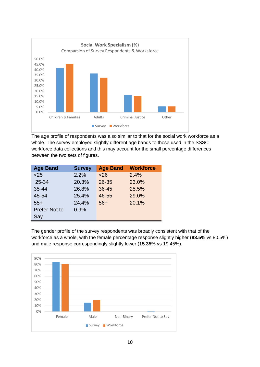

The age profile of respondents was also similar to that for the social work workforce as a whole. The survey employed slightly different age bands to those used in the SSSC workforce data collections and this may account for the small percentage differences between the two sets of figures.

| <b>Age Band</b>      | <b>Survey</b> | <b>Age Band</b> | <b>Workforce</b> |
|----------------------|---------------|-----------------|------------------|
| < 25                 | 2.2%          | < 26            | 2.4%             |
| 25-34                | 20.3%         | 26-35           | 23.0%            |
| $35 - 44$            | 26.8%         | 36-45           | 25.5%            |
| 45-54                | 25.4%         | 46-55           | 29.0%            |
| $55+$                | 24.4%         | $56+$           | 20.1%            |
| <b>Prefer Not to</b> | 0.9%          |                 |                  |
| Say                  |               |                 |                  |

The gender profile of the survey respondents was broadly consistent with that of the workforce as a whole, with the female percentage response slightly higher (**83.5%** vs 80.5%) and male response correspondingly slightly lower (**15.35**% vs 19.45%).

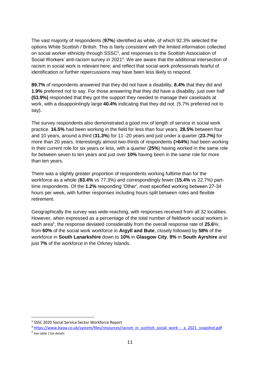The vast majority of respondents (**97%**) identified as white, of which 92.3% selected the options White Scottish / British. This is fairly consistent with the limited information collected on social worker ethnicity through SSSC<sup>3</sup>, and responses to the Scottish Association of Social Workers' anti-racism survey in 2021<sup>4</sup>. We are aware that the additional intersection of racism in social work is relevant here; and reflect that social work professionals fearful of identification or further repercussions may have been less likely to respond.

**89.7%** of respondents answered that they did not have a disability, **8.4%** that they did and **1.9%** preferred not to say. For those answering that they did have a disability, just over half **(53.9%)** responded that they got the support they needed to manage their caseloads at work, with a disappointingly large **40.4%** indicating that they did not. (5.7% preferred not to say).

The survey respondents also demonstrated a good mix of length of service in social work practice. **16.5%** had been working in the field for less than four years, **28.5%** between four and 10 years, around a third (**31.3%**) for 11 -20 years and just under a quarter (**23.7%)** for more than 20 years. Interestingly almost two-thirds of respondents **(>64%**) had been working in their current role for six years or less, with a quarter (**25%**) having worked in the same role for between seven to ten years and just over **10%** having been in the same role for more than ten years.

There was a slightly greater proportion of respondents working fulltime than for the workforce as a whole (**83.4%** vs 77.3%) and correspondingly fewer (**15.4%** vs 22.7%) parttime respondents. Of the **1.2%** responding 'Other', most specified working between 27-34 hours per week, with further responses including hours split between roles and flexible retirement.

Geographically the survey was wide-reaching, with responses received from all 32 localities. However, when expressed as a percentage of the total number of fieldwork social workers in each area<sup>5</sup>, the response deviated considerably from the overall response rate of 25.6%; from **60%** of the social work workforce in **Argyll and Bute**, closely followed by **58%** of the workforce in **South Lanarkshire** down to **10%** in **Glasgow City**, **9%** in **South Ayrshire** and just **7%** of the workforce in the Orkney Islands.

1

<sup>&</sup>lt;sup>3</sup> SSSC 2020 Social Service Sector Workforce Report

<sup>4</sup> [https://www.basw.co.uk/system/files/resources/racism\\_in\\_scottish\\_social\\_work\\_-\\_a\\_2021\\_snapshot.pdf](https://www.basw.co.uk/system/files/resources/racism_in_scottish_social_work_-_a_2021_snapshot.pdf)

<sup>5</sup> See table 1 for details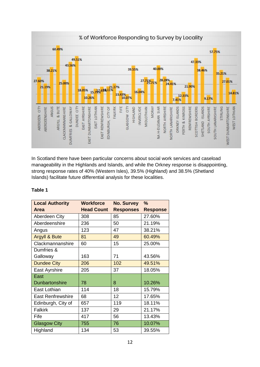

In Scotland there have been particular concerns about social work services and caseload manageability in the Highlands and Islands, and while the Orkney response is disappointing, strong response rates of 40% (Western Isles), 39.5% (Highland) and 38.5% (Shetland Islands) facilitate future differential analysis for these localities.

#### **Table 1**

| <b>Local Authority</b>   | Workforce         | <b>No. Survey</b> | $\frac{0}{0}$   |
|--------------------------|-------------------|-------------------|-----------------|
| Area                     | <b>Head Count</b> | <b>Responses</b>  | <b>Response</b> |
| Aberdeen City            | 308               | 85                | 27.60%          |
| Aberdeenshire            | 236               | 50                | 21.19%          |
| Angus                    | 123               | 47                | 38.21%          |
| <b>Argyll &amp; Bute</b> | 81                | 49                | 60.49%          |
| Clackmannanshire         | 60                | 15                | 25.00%          |
| Dumfries &               |                   |                   |                 |
| Galloway                 | 163               | 71                | 43.56%          |
| <b>Dundee City</b>       | 206               | 102               | 49.51%          |
| East Ayrshire            | 205               | 37                | 18.05%          |
| East                     |                   |                   |                 |
| <b>Dunbartonshire</b>    | 78                | 8                 | 10.26%          |
| East Lothian             | 114               | 18                | 15.79%          |
| <b>East Renfrewshire</b> | 68                | 12                | 17.65%          |
| Edinburgh, City of       | 657               | 119               | 18.11%          |
| <b>Falkirk</b>           | 137               | 29                | 21.17%          |
| Fife                     | 417               | 56                | 13.43%          |
| <b>Glasgow City</b>      | 755               | 76                | 10.07%          |
| Highland                 | 134               | 53                | 39.55%          |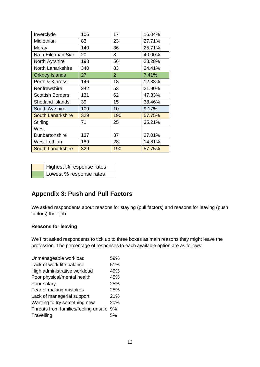| Inverclyde               | 106 | 17             | 16.04% |
|--------------------------|-----|----------------|--------|
| Midlothian               | 83  | 23             | 27.71% |
| Moray                    | 140 | 36             | 25.71% |
| Na h-Eileanan Siar       | 20  | 8              | 40.00% |
| North Ayrshire           | 198 | 56             | 28.28% |
| <b>North Lanarkshire</b> | 340 | 83             | 24.41% |
| <b>Orkney Islands</b>    | 27  | $\overline{2}$ | 7.41%  |
| Perth & Kinross          | 146 | 18             | 12.33% |
| Renfrewshire             | 242 | 53             | 21.90% |
| <b>Scottish Borders</b>  | 131 | 62             | 47.33% |
| <b>Shetland Islands</b>  | 39  | 15             | 38.46% |
| South Ayrshire           | 109 | 10             | 9.17%  |
| <b>South Lanarkshire</b> | 329 | 190            | 57.75% |
| Stirling                 | 71  | 25             | 35.21% |
| West                     |     |                |        |
| Dunbartonshire           | 137 | 37             | 27.01% |
| West Lothian             | 189 | 28             | 14.81% |
| <b>South Lanarkshire</b> | 329 | 190            | 57.75% |

| Highest % response rates |
|--------------------------|
| Lowest % response rates  |

# <span id="page-13-0"></span>**Appendix 3: Push and Pull Factors**

We asked respondents about reasons for staying (pull factors) and reasons for leaving (push factors) their job

#### **Reasons for leaving**

We first asked respondents to tick up to three boxes as main reasons they might leave the profession. The percentage of responses to each available option are as follows:

| Unmanageable workload                   | 59% |
|-----------------------------------------|-----|
| Lack of work-life balance               | 51% |
| High administrative workload            | 49% |
| Poor physical/mental health             | 45% |
| Poor salary                             | 25% |
| Fear of making mistakes                 | 25% |
| Lack of managerial support              | 21% |
| Wanting to try something new            | 20% |
| Threats from families/feeling unsafe 9% |     |
| Travelling                              | 5%  |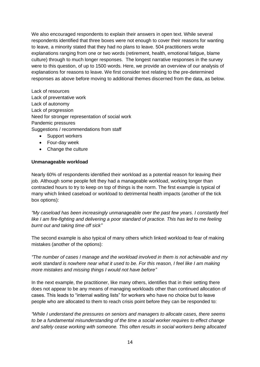We also encouraged respondents to explain their answers in open text. While several respondents identified that three boxes were not enough to cover their reasons for wanting to leave, a minority stated that they had no plans to leave. 504 practitioners wrote explanations ranging from one or two words (retirement, health, emotional fatigue, blame culture) through to much longer responses. The longest narrative responses in the survey were to this question, of up to 1500 words. Here, we provide an overview of our analysis of explanations for reasons to leave. We first consider text relating to the pre-determined responses as above before moving to additional themes discerned from the data, as below.

Lack of resources Lack of preventative work Lack of autonomy Lack of progression Need for stronger representation of social work Pandemic pressures Suggestions / recommendations from staff

- Support workers
- Four-day week
- Change the culture

#### **Unmanageable workload**

Nearly 60% of respondents identified their workload as a potential reason for leaving their job. Although some people felt they had a manageable workload, working longer than contracted hours to try to keep on top of things is the norm. The first example is typical of many which linked caseload or workload to detrimental health impacts (another of the tick box options):

*"My caseload has been increasingly unmanageable over the past few years. I constantly feel like I am fire-fighting and delivering a poor standard of practice. This has led to me feeling burnt out and taking time off sick"*

The second example is also typical of many others which linked workload to fear of making mistakes (another of the options):

*"The number of cases I manage and the workload involved in them is not achievable and my work standard is nowhere near what it used to be. For this reason, I feel like I am making more mistakes and missing things I would not have before"*

In the next example, the practitioner, like many others, identifies that in their setting there does not appear to be any means of managing workloads other than continued allocation of cases. This leads to "internal waiting lists" for workers who have no choice but to leave people who are allocated to them to reach crisis point before they can be responded to:

*"While I understand the pressures on seniors and managers to allocate cases, there seems to be a fundamental misunderstanding of the time a social worker requires to effect change and safely cease working with someone. This often results in social workers being allocated*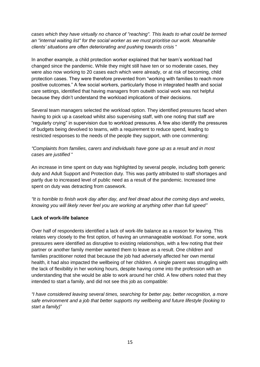*cases which they have virtually no chance of "reaching". This leads to what could be termed an "internal waiting list" for the social worker as we must prioritise our work. Meanwhile clients' situations are often deteriorating and pushing towards crisis* "

In another example, a child protection worker explained that her team's workload had changed since the pandemic. While they might still have ten or so moderate cases, they were also now working to 20 cases each which were already, or at risk of becoming, child protection cases. They were therefore prevented from "working with families to reach more positive outcomes." A few social workers, particularly those in integrated health and social care settings, identified that having managers from outwith social work was not helpful because they didn't understand the workload implications of their decisions.

Several team managers selected the workload option. They identified pressures faced when having to pick up a caseload whilst also supervising staff, with one noting that staff are "regularly crying" in supervision due to workload pressures. A few also identify the pressures of budgets being devolved to teams, with a requirement to reduce spend, leading to restricted responses to the needs of the people they support, with one commenting:

#### *"Complaints from families, carers and individuals have gone up as a result and in most cases are justified* "

An increase in time spent on duty was highlighted by several people, including both generic duty and Adult Support and Protection duty. This was partly attributed to staff shortages and partly due to increased level of public need as a result of the pandemic. Increased time spent on duty was detracting from casework.

*"It is horrible to finish work day after day, and feel dread about the coming days and weeks, knowing you will likely never feel you are working at anything other than full speed"*

#### **Lack of work-life balance**

Over half of respondents identified a lack of work-life balance as a reason for leaving. This relates very closely to the first option, of having an unmanageable workload. For some, work pressures were identified as disruptive to existing relationships, with a few noting that their partner or another family member wanted them to leave as a result. One children and families practitioner noted that because the job had adversely affected her own mental health, it had also impacted the wellbeing of her children. A single parent was struggling with the lack of flexibility in her working hours, despite having come into the profession with an understanding that she would be able to work around her child. A few others noted that they intended to start a family, and did not see this job as compatible:

*"I have considered leaving several times, searching for better pay, better recognition, a more safe environment and a job that better supports my wellbeing and future lifestyle (looking to start a family)*"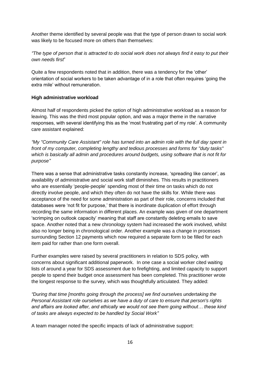Another theme identified by several people was that the type of person drawn to social work was likely to be focused more on others than themselves:

*"The type of person that is attracted to do social work does not always find it easy to put their own needs first*"

Quite a few respondents noted that in addition, there was a tendency for the 'other' orientation of social workers to be taken advantage of in a role that often requires 'going the extra mile' without remuneration.

#### **High administrative workload**

Almost half of respondents picked the option of high administrative workload as a reason for leaving. This was the third most popular option, and was a major theme in the narrative responses, with several identifying this as the 'most frustrating part of my role'. A community care assistant explained:

*"My "Community Care Assistant" role has turned into an admin role with the full day spent in front of my computer, completing lengthy and tedious processes and forms for "duty tasks" which is basically all admin and procedures around budgets, using software that is not fit for purpose"*

There was a sense that administrative tasks constantly increase, 'spreading like cancer', as availability of administrative and social work staff diminishes. This results in practitioners who are essentially 'people-people' spending most of their time on tasks which do not directly involve people, and which they often do not have the skills for. While there was acceptance of the need for some administration as part of their role, concerns included that databases were 'not fit for purpose,' that there is inordinate duplication of effort through recording the same information in different places. An example was given of one department 'scrimping on outlook capacity' meaning that staff are constantly deleting emails to save space. Another noted that a new chronology system had increased the work involved, whilst also no longer being in chronological order. Another example was a change in processes surrounding Section 12 payments which now required a separate form to be filled for each item paid for rather than one form overall.

Further examples were raised by several practitioners in relation to SDS policy, with concerns about significant additional paperwork. In one case a social worker cited waiting lists of around a year for SDS assessment due to firefighting, and limited capacity to support people to spend their budget once assessment has been completed. This practitioner wrote the longest response to the survey, which was thoughtfully articulated. They added:

*"During that time [months going through the process] we find ourselves undertaking the Personal Assistant role ourselves as we have a duty of care to ensure that person's rights and affairs are looked after, and ethically we would not see them going without… these kind of tasks are always expected to be handled by Social Work"*

A team manager noted the specific impacts of lack of administrative support: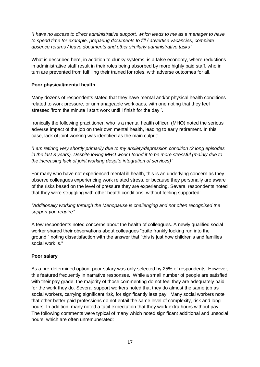*"I have no access to direct administrative support, which leads to me as a manager to have to spend time for example, preparing documents to fill / advertise vacancies, complete absence returns / leave documents and other similarly administrative tasks"*

What is described here, in addition to clunky systems, is a false economy, where reductions in administrative staff result in their roles being absorbed by more highly paid staff, who in turn are prevented from fulfilling their trained for roles, with adverse outcomes for all.

#### **Poor physical/mental health**

Many dozens of respondents stated that they have mental and/or physical health conditions related to work pressure, or unmanageable workloads, with one noting that they feel stressed 'from the minute I start work until I finish for the day.'.

Ironically the following practitioner, who is a mental health officer, (MHO) noted the serious adverse impact of the job on their own mental health, leading to early retirement. In this case, lack of joint working was identified as the main culprit:

*"I am retiring very shortly primarily due to my anxiety/depression condition (2 long episodes in the last 3 years). Despite loving MHO work I found it to be more stressful (mainly due to the increasing lack of joint working despite integration of services)"*

For many who have not experienced mental ill health, this is an underlying concern as they observe colleagues experiencing work related stress, or because they personally are aware of the risks based on the level of pressure they are experiencing. Several respondents noted that they were struggling with other health conditions, without feeling supported:

*"Additionally working through the Menopause is challenging and not often recognised the support you require"*

A few respondents noted concerns about the health of colleagues. A newly qualified social worker shared their observations about colleagues "quite frankly looking run into the ground," noting dissatisfaction with the answer that "this is just how children's and families social work is."

#### **Poor salary**

As a pre-determined option, poor salary was only selected by 25% of respondents. However, this featured frequently in narrative responses. While a small number of people are satisfied with their pay grade, the majority of those commenting do not feel they are adequately paid for the work they do. Several support workers noted that they do almost the same job as social workers, carrying significant risk, for significantly less pay. Many social workers note that other better paid professions do not entail the same level of complexity, risk and long hours. In addition, many noted a tacit expectation that they work extra hours without pay. The following comments were typical of many which noted significant additional and unsocial hours, which are often unremunerated: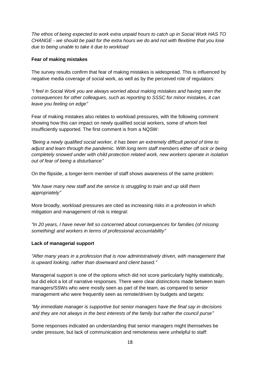*The ethos of being expected to work extra unpaid hours to catch up in Social Work HAS TO CHANGE - we should be paid for the extra hours we do and not with flexitime that you lose due to being unable to take it due to workload*

#### **Fear of making mistakes**

The survey results confirm that fear of making mistakes is widespread. This is influenced by negative media coverage of social work, as well as by the perceived role of regulators:

*"I feel in Social Work you are always worried about making mistakes and having seen the consequences for other colleagues, such as reporting to SSSC for minor mistakes, it can leave you feeling on edge"*

Fear of making mistakes also relates to workload pressures, with the following comment showing how this can impact on newly qualified social workers, some of whom feel insufficiently supported. The first comment is from a NQSW:

*"Being a newly qualified social worker, it has been an extremely difficult period of time to adjust and learn through the pandemic. With long term staff members either off sick or being completely snowed under with child protection related work, new workers operate in isolation out of fear of being a disturbance"*

On the flipside, a longer-term member of staff shows awareness of the same problem:

*"We have many new staff and the service is struggling to train and up skill them appropriately"*

More broadly, workload pressures are cited as increasing risks in a profession in which mitigation and management of risk is integral:

*"In 20 years, I have never felt so concerned about consequences for families (of missing something) and workers in terms of professional accountability"*

#### **Lack of managerial support**

*"After many years in a profession that is now administratively driven, with management that is upward looking, rather than downward and client based."*

Managerial support is one of the options which did not score particularly highly statistically, but did elicit a lot of narrative responses. There were clear distinctions made between team managers/SSWs who were mostly seen as part of the team, as compared to senior management who were frequently seen as remote/driven by budgets and targets:

*"My immediate manager is supportive but senior managers have the final say in decisions and they are not always in the best interests of the family but rather the council purse"*

Some responses indicated an understanding that senior managers might themselves be under pressure, but lack of communication and remoteness were unhelpful to staff: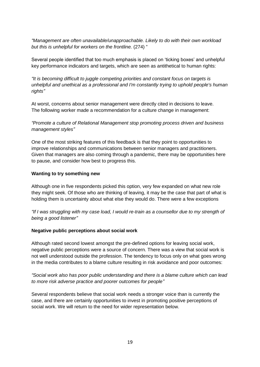*"Management are often unavailable/unapproachable. Likely to do with their own workload but this is unhelpful for workers on the frontline.* (274) "

Several people identified that too much emphasis is placed on 'ticking boxes' and unhelpful key performance indicators and targets, which are seen as antithetical to human rights:

*"It is becoming difficult to juggle competing priorities and constant focus on targets is unhelpful and unethical as a professional and I'm constantly trying to uphold people's human rights"*

At worst, concerns about senior management were directly cited in decisions to leave. The following worker made a recommendation for a culture change in management:

*"Promote a culture of Relational Management stop promoting process driven and business management styles"*

One of the most striking features of this feedback is that they point to opportunities to improve relationships and communications between senior managers and practitioners. Given that managers are also coming through a pandemic, there may be opportunities here to pause, and consider how best to progress this.

#### **Wanting to try something new**

Although one in five respondents picked this option, very few expanded on what new role they might seek. Of those who are thinking of leaving, it may be the case that part of what is holding them is uncertainty about what else they would do. There were a few exceptions

*"If I was struggling with my case load, I would re-train as a counsellor due to my strength of being a good listener"*

#### **Negative public perceptions about social work**

Although rated second lowest amongst the pre-defined options for leaving social work, negative public perceptions were a source of concern. There was a view that social work is not well understood outside the profession. The tendency to focus only on what goes wrong in the media contributes to a blame culture resulting in risk avoidance and poor outcomes:

*"Social work also has poor public understanding and there is a blame culture which can lead to more risk adverse practice and poorer outcomes for people"*

Several respondents believe that social work needs a stronger voice than is currently the case, and there are certainly opportunities to invest in promoting positive perceptions of social work. We will return to the need for wider representation below.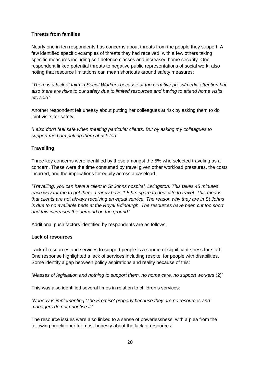#### **Threats from families**

Nearly one in ten respondents has concerns about threats from the people they support. A few identified specific examples of threats they had received, with a few others taking specific measures including self-defence classes and increased home security. One respondent linked potential threats to negative public representations of social work, also noting that resource limitations can mean shortcuts around safety measures:

*"There is a lack of faith in Social Workers because of the negative press/media attention but also there are risks to our safety due to limited resources and having to attend home visits etc solo"*

Another respondent felt uneasy about putting her colleagues at risk by asking them to do joint visits for safety:

*"I also don't feel safe when meeting particular clients. But by asking my colleagues to support me I am putting them at risk too"*

#### **Travelling**

Three key concerns were identified by those amongst the 5% who selected traveling as a concern. These were the time consumed by travel given other workload pressures, the costs incurred, and the implications for equity across a caseload.

*"Travelling, you can have a client in St Johns hospital, Livingston. This takes 45 minutes each way for me to get there. I rarely have 1.5 hrs spare to dedicate to travel. This means that clients are not always receiving an equal service. The reason why they are in St Johns is due to no available beds at the Royal Edinburgh. The resources have been cut too short and this increases the demand on the ground"*

Additional push factors identified by respondents are as follows:

#### **Lack of resources**

Lack of resources and services to support people is a source of significant stress for staff. One response highlighted a lack of services including respite, for people with disabilities. Some identify a gap between policy aspirations and reality because of this:

*"Masses of legislation and nothing to support them, no home care, no support workers* (2)"

This was also identified several times in relation to children's services:

*"Nobody is implementing 'The Promise' properly because they are no resources and managers do not prioritise it"*

The resource issues were also linked to a sense of powerlessness, with a plea from the following practitioner for most honesty about the lack of resources: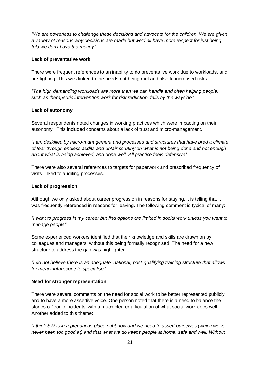*"We are powerless to challenge these decisions and advocate for the children. We are given a variety of reasons why decisions are made but we'd all have more respect for just being told we don't have the money"*

#### **Lack of preventative work**

There were frequent references to an inability to do preventative work due to workloads, and fire-fighting. This was linked to the needs not being met and also to increased risks:

*"The high demanding workloads are more than we can handle and often helping people, such as therapeutic intervention work for risk reduction, falls by the wayside"*

#### **Lack of autonomy**

Several respondents noted changes in working practices which were impacting on their autonomy. This included concerns about a lack of trust and micro-management.

*"I am deskilled by micro-management and processes and structures that have bred a climate of fear through endless audits and unfair scrutiny on what is not being done and not enough about what is being achieved, and done well. All practice feels defensive*"

There were also several references to targets for paperwork and prescribed frequency of visits linked to auditing processes.

#### **Lack of progression**

Although we only asked about career progression in reasons for staying, it is telling that it was frequently referenced in reasons for leaving. The following comment is typical of many:

*"I want to progress in my career but find options are limited in social work unless you want to manage people"*

Some experienced workers identified that their knowledge and skills are drawn on by colleagues and managers, without this being formally recognised. The need for a new structure to address the gap was highlighted:

*"I do not believe there is an adequate, national, post-qualifying training structure that allows for meaningful scope to specialise"*

#### **Need for stronger representation**

There were several comments on the need for social work to be better represented publicly and to have a more assertive voice. One person noted that there is a need to balance the stories of 'tragic incidents' with a much clearer articulation of what social work does well. Another added to this theme:

*"I think SW is in a precarious place right now and we need to assert ourselves (which we've never been too good at) and that what we do keeps people at home, safe and well. Without*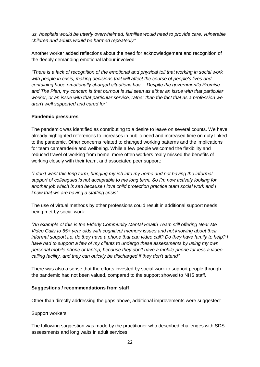*us, hospitals would be utterly overwhelmed, families would need to provide care, vulnerable children and adults would be harmed repeatedly"*

Another worker added reflections about the need for acknowledgement and recognition of the deeply demanding emotional labour involved:

*"There is a lack of recognition of the emotional and physical toll that working in social work with people in crisis, making decisions that will affect the course of people's lives and containing huge emotionally charged situations has… Despite the government's Promise and The Plan, my concern is that burnout is still seen as either an issue with that particular worker, or an issue with that particular service, rather than the fact that as a profession we aren't well supported and cared for"*

#### **Pandemic pressures**

The pandemic was identified as contributing to a desire to leave on several counts. We have already highlighted references to increases in public need and increased time on duty linked to the pandemic. Other concerns related to changed working patterns and the implications for team camaraderie and wellbeing. While a few people welcomed the flexibility and reduced travel of working from home, more often workers really missed the benefits of working closely with their team, and associated peer support:

*"I don't want this long term, bringing my job into my home and not having the informal support of colleagues is not acceptable to me long term. So I'm now actively looking for another job which is sad because I love child protection practice team social work and I know that we are having a staffing crisis"*

The use of virtual methods by other professions could result in additional support needs being met by social work:

*"An example of this is the Elderly Community Mental Health Team still offering Near Me Video Calls to 65+ year olds with cognitive/ memory issues and not knowing about their informal support i.e. do they have a phone that can video call? Do they have family to help? I have had to support a few of my clients to undergo these assessments by using my own personal mobile phone or laptop, because they don't have a mobile phone far less a video calling facility, and they can quickly be discharged if they don't attend"*

There was also a sense that the efforts invested by social work to support people through the pandemic had not been valued, compared to the support showed to NHS staff.

#### **Suggestions / recommendations from staff**

Other than directly addressing the gaps above, additional improvements were suggested:

#### Support workers

The following suggestion was made by the practitioner who described challenges with SDS assessments and long waits in adult services: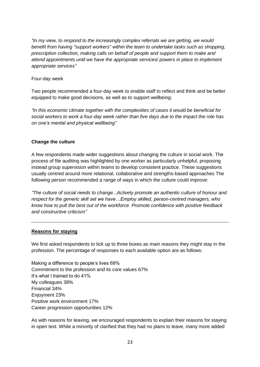*"In my view, to respond to the increasingly complex referrals we are getting, we would benefit from having "support workers" within the team to undertake tasks such as shopping, prescription collection, making calls on behalf of people and support them to make and attend appointments until we have the appropriate services/ powers in place to implement appropriate services"*

Four-day week

Two people recommended a four-day week to enable staff to reflect and think and be better equipped to make good decisions, as well as to support wellbeing:

*"In this economic climate together with the complexities of cases it would be beneficial for social workers to work a four-day week rather than five days due to the impact the role has on one's mental and physical wellbeing"*

#### **Change the culture**

A few respondents made wider suggestions about changing the culture in social work. The process of file auditing was highlighted by one worker as particularly unhelpful, proposing instead group supervision within teams to develop consistent practice. These suggestions usually centred around more relational, collaborative and strengths-based approaches The following person recommended a range of ways in which the culture could improve:

*"The culture of social needs to change...Actively promote an authentic culture of honour and respect for the generic skill set we have…Employ skilled, person-centred managers, who know how to pull the best out of the workforce. Promote confidence with positive feedback and constructive criticism"*

#### **Reasons for staying**

We first asked respondents to tick up to three boxes as main reasons they might stay in the profession. The percentage of responses to each available option are as follows:

Making a difference to people's lives 69% Commitment to the profession and its core values 67% It's what I trained to do 41% My colleagues 38% Financial 34% Enjoyment 23% Positive work environment 17% Career progression opportunities 12%

As with reasons for leaving, we encouraged respondents to explain their reasons for staying in open text. While a minority of clarified that they had no plans to leave, many more added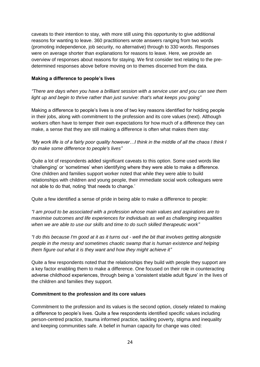caveats to their intention to stay, with more still using this opportunity to give additional reasons for wanting to leave. 360 practitioners wrote answers ranging from two words (promoting independence, job security, no alternative) through to 330 words. Responses were on average shorter than explanations for reasons to leave. Here, we provide an overview of responses about reasons for staying. We first consider text relating to the predetermined responses above before moving on to themes discerned from the data.

#### **Making a difference to people's lives**

*"There are days when you have a brilliant session with a service user and you can see them light up and begin to thrive rather than just survive: that's what keeps you going"*

Making a difference to people's lives is one of two key reasons identified for holding people in their jobs, along with commitment to the profession and its core values (next). Although workers often have to temper their own expectations for how much of a difference they can make, a sense that they are still making a difference is often what makes them stay:

*"My work life is of a fairly poor quality however…I think in the middle of all the chaos I think I do make some difference to people's lives"*

Quite a lot of respondents added significant caveats to this option. Some used words like 'challenging' or 'sometimes' when identifying where they were able to make a difference. One children and families support worker noted that while they were able to build relationships with children and young people, their immediate social work colleagues were not able to do that, noting 'that needs to change.'

Quite a few identified a sense of pride in being able to make a difference to people:

*"I am proud to be associated with a profession whose main values and aspirations are to maximise outcomes and life experiences for individuals as well as challenging inequalities when we are able to use our skills and time to do such skilled therapeutic work"*

*"I do this because I'm good at it as it turns out - well the bit that involves getting alongside people in the messy and sometimes chaotic swamp that is human existence and helping them figure out what it is they want and how they might achieve it"*

Quite a few respondents noted that the relationships they build with people they support are a key factor enabling them to make a difference. One focused on their role in counteracting adverse childhood experiences, through being a 'consistent stable adult figure' in the lives of the children and families they support.

#### **Commitment to the profession and its core values**

Commitment to the profession and its values is the second option, closely related to making a difference to people's lives. Quite a few respondents identified specific values including person-centred practice, trauma informed practice, tackling poverty, stigma and inequality and keeping communities safe. A belief in human capacity for change was cited: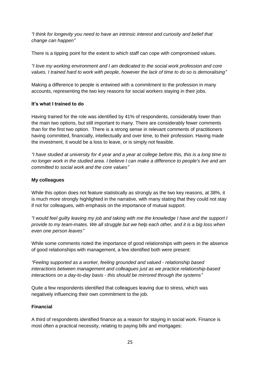*"I think for longevity you need to have an intrinsic interest and curiosity and belief that change can happen"*

There is a tipping point for the extent to which staff can cope with compromised values.

*"I love my working environment and I am dedicated to the social work profession and core values. I trained hard to work with people, however the lack of time to do so is demoralising"*

Making a difference to people is entwined with a commitment to the profession in many accounts, representing the two key reasons for social workers staying in their jobs.

#### **It's what I trained to do**

Having trained for the role was identified by 41% of respondents, considerably lower than the main two options, but still important to many. There are considerably fewer comments than for the first two option. There is a strong sense in relevant comments of practitioners having committed, financially, intellectually and over time, to their profession. Having made the investment, it would be a loss to leave, or is simply not feasible.

*"I have studied at university for 4 year and a year at college before this, this is a long time to no longer work in the studied area. I believe I can make a difference to people's live and am committed to social work and the core values"*

#### **My colleagues**

While this option does not feature statistically as strongly as the two key reasons, at 38%, it is much more strongly highlighted in the narrative, with many stating that they could not stay if not for colleagues, with emphasis on the importance of mutual support.

*"I would feel guilty leaving my job and taking with me the knowledge I have and the support I provide to my team-mates. We all struggle but we help each other, and it is a big loss when even one person leaves"*

While some comments noted the importance of good relationships with peers in the absence of good relationships with management, a few identified both were present:

*"Feeling supported as a worker, feeling grounded and valued - relationship based interactions between management and colleagues just as we practice relationship-based interactions on a day-to-day basis - this should be mirrored through the systems"*

Quite a few respondents identified that colleagues leaving due to stress, which was negatively influencing their own commitment to the job.

#### **Financial**

A third of respondents identified finance as a reason for staying in social work. Finance is most often a practical necessity, relating to paying bills and mortgages: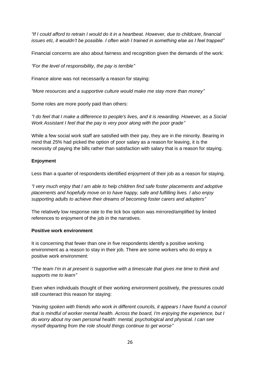*"If I could afford to retrain I would do it in a heartbeat. However, due to childcare, financial issues etc, it wouldn't be possible. I often wish I trained in something else as I feel trapped"*

Financial concerns are also about fairness and recognition given the demands of the work:

*"For the level of responsibility, the pay is terrible"*

Finance alone was not necessarily a reason for staying:

*"More resources and a supportive culture would make me stay more than money"*

Some roles are more poorly paid than others:

*"I do feel that I make a difference to people's lives, and it is rewarding. However, as a Social Work Assistant I feel that the pay is very poor along with the poor grade"*

While a few social work staff are satisfied with their pay, they are in the minority. Bearing in mind that 25% had picked the option of poor salary as a reason for leaving, it is the necessity of paying the bills rather than satisfaction with salary that is a reason for staying.

#### **Enjoyment**

Less than a quarter of respondents identified enjoyment of their job as a reason for staying.

*"I very much enjoy that I am able to help children find safe foster placements and adoptive placements and hopefully move on to have happy, safe and fulfilling lives. I also enjoy supporting adults to achieve their dreams of becoming foster carers and adopters"*

The relatively low response rate to the tick box option was mirrored/amplified by limited references to enjoyment of the job in the narratives.

#### **Positive work environment**

It is concerning that fewer than one in five respondents identify a positive working environment as a reason to stay in their job. There are some workers who do enjoy a positive work environment:

*"The team I'm in at present is supportive with a timescale that gives me time to think and supports me to learn"*

Even when individuals thought of their working environment positively, the pressures could still counteract this reason for staying:

*"Having spoken with friends who work in different councils, it appears I have found a council that is mindful of worker mental health. Across the board, I'm enjoying the experience, but I do worry about my own personal health: mental, psychological and physical. I can see myself departing from the role should things continue to get worse"*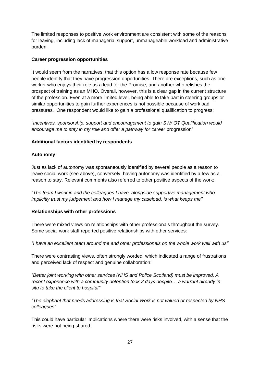The limited responses to positive work environment are consistent with some of the reasons for leaving, including lack of managerial support, unmanageable workload and administrative burden.

#### **Career progression opportunities**

It would seem from the narratives, that this option has a low response rate because few people identify that they have progression opportunities. There are exceptions, such as one worker who enjoys their role as a lead for the Promise, and another who relishes the prospect of training as an MHO. Overall, however, this is a clear gap in the current structure of the profession. Even at a more limited level, being able to take part in steering groups or similar opportunities to gain further experiences is not possible because of workload pressures. One respondent would like to gain a professional qualification to progress:

*"Incentives, sponsorship, support and encouragement to gain SW/ OT Qualification would encourage me to stay in my role and offer a pathway for career* progression"

#### **Additional factors identified by respondents**

#### **Autonomy**

Just as lack of autonomy was spontaneously identified by several people as a reason to leave social work (see above), conversely, having autonomy was identified by a few as a reason to stay. Relevant comments also referred to other positive aspects of the work:

*"The team I work in and the colleagues I have, alongside supportive management who implicitly trust my judgement and how I manage my caseload, is what keeps me"*

#### **Relationships with other professions**

There were mixed views on relationships with other professionals throughout the survey. Some social work staff reported positive relationships with other services:

*"I have an excellent team around me and other professionals on the whole work well with us"*

There were contrasting views, often strongly worded, which indicated a range of frustrations and perceived lack of respect and genuine collaboration:

*"Better joint working with other services (NHS and Police Scotland) must be improved. A recent experience with a community detention took 3 days despite… a warrant already in situ to take the client to hospital"*

*"The elephant that needs addressing is that Social Work is not valued or respected by NHS colleagues"*

This could have particular implications where there were risks involved, with a sense that the risks were not being shared: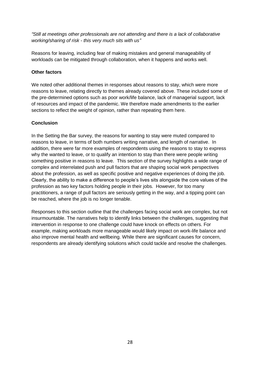*"Still at meetings other professionals are not attending and there is a lack of collaborative working/sharing of risk - this very much sits with us"*

Reasons for leaving, including fear of making mistakes and general manageability of workloads can be mitigated through collaboration, when it happens and works well.

#### **Other factors**

We noted other additional themes in responses about reasons to stay, which were more reasons to leave, relating directly to themes already covered above. These included some of the pre-determined options such as poor work/life balance, lack of managerial support, lack of resources and impact of the pandemic. We therefore made amendments to the earlier sections to reflect the weight of opinion, rather than repeating them here.

#### **Conclusion**

In the Setting the Bar survey, the reasons for wanting to stay were muted compared to reasons to leave, in terms of both numbers writing narrative, and length of narrative. In addition, there were far more examples of respondents using the reasons to stay to express why the wanted to leave, or to qualify an intention to stay than there were people writing something positive in reasons to leave. This section of the survey highlights a wide range of complex and interrelated push and pull factors that are shaping social work perspectives about the profession, as well as specific positive and negative experiences of doing the job. Clearly, the ability to make a difference to people's lives sits alongside the core values of the profession as two key factors holding people in their jobs. However, for too many practitioners, a range of pull factors are seriously getting in the way, and a tipping point can be reached, where the job is no longer tenable.

Responses to this section outline that the challenges facing social work are complex, but not insurmountable. The narratives help to identify links between the challenges, suggesting that intervention in response to one challenge could have knock on effects on others. For example, making workloads more manageable would likely impact on work-life balance and also improve mental health and wellbeing. While there are significant causes for concern, respondents are already identifying solutions which could tackle and resolve the challenges.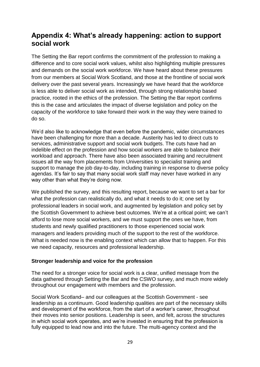# <span id="page-29-0"></span>**Appendix 4: What's already happening: action to support social work**

The Setting the Bar report confirms the commitment of the profession to making a difference and to core social work values, whilst also highlighting multiple pressures and demands on the social work workforce. We have heard about these pressures from our members at Social Work Scotland, and those at the frontline of social work delivery over the past several years. Increasingly we have heard that the workforce is less able to deliver social work as intended, through strong relationship based practice, rooted in the ethics of the profession. The Setting the Bar report confirms this is the case and articulates the impact of diverse legislation and policy on the capacity of the workforce to take forward their work in the way they were trained to do so.

We'd also like to acknowledge that even before the pandemic, wider circumstances have been challenging for more than a decade. Austerity has led to direct cuts to services, administrative support and social work budgets. The cuts have had an indelible effect on the profession and how social workers are able to balance their workload and approach. There have also been associated training and recruitment issues all the way from placements from Universities to specialist training and support to manage the job day-to-day, including training in response to diverse policy agendas. It's fair to say that many social work staff may never have worked in any way other than what they're doing now.

We published the survey, and this resulting report, because we want to set a bar for what the profession can realistically do, and what it needs to do it; one set by professional leaders in social work, and augmented by legislation and policy set by the Scottish Government to achieve best outcomes. We're at a critical point; we can't afford to lose more social workers, and we must support the ones we have, from students and newly qualified practitioners to those experienced social work managers and leaders providing much of the support to the rest of the workforce. What is needed now is the enabling context which can allow that to happen. For this we need capacity, resources and professional leadership.

#### **Stronger leadership and voice for the profession**

The need for a stronger voice for social work is a clear, unified message from the data gathered through Setting the Bar and the CSWO survey, and much more widely throughout our engagement with members and the profession.

Social Work Scotland– and our colleagues at the Scottish Government - see leadership as a continuum. Good leadership qualities are part of the necessary skills and development of the workforce, from the start of a worker's career, throughout their moves into senior positions. Leadership is seen, and felt, across the structures in which social work operates, and we're invested in ensuring that the profession is fully equipped to lead now and into the future. The multi-agency context and the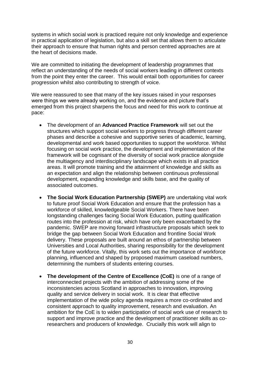systems in which social work is practiced require not only knowledge and experience in practical application of legislation, but also a skill set that allows them to articulate their approach to ensure that human rights and person centred approaches are at the heart of decisions made.

We are committed to initiating the development of leadership programmes that reflect an understanding of the needs of social workers leading in different contexts from the point they enter the career. This would entail both opportunities for career progression whilst also contributing to strength of voice.

We were reassured to see that many of the key issues raised in your responses were things we were already working on, and the evidence and picture that's emerged from this project sharpens the focus and need for this work to continue at pace:

- The development of an **Advanced Practice Framework** will set out the structures which support social workers to progress through different career phases and describe a cohesive and supportive series of academic, learning, developmental and work based opportunities to support the workforce. Whilst focusing on social work practice, the development and implementation of the framework will be cognisant of the diversity of social work practice alongside the multiagency and interdisciplinary landscape which exists in all practice areas. It will promote training and the attainment of knowledge and skills as an expectation and align the relationship between continuous professional development, expanding knowledge and skills base, and the quality of associated outcomes.
- **The Social Work Education Partnership (SWEP)** are undertaking vital work to future proof Social Work Education and ensure that the profession has a workforce of skilled, knowledgeable Social Workers. There have been longstanding challenges facing Social Work Education, putting qualification routes into the profession at risk, which have only been exacerbated by the pandemic. SWEP are moving forward infrastructure proposals which seek to bridge the gap between Social Work Education and frontline Social Work delivery. These proposals are built around an ethos of partnership between Universities and Local Authorities, sharing responsibility for the development of the future workforce. Vitally, this work sets out the importance of workforce planning, influenced and shaped by proposed maximum caseload numbers, determining the numbers of students entering courses.
- **The development of the Centre of Excellence (CoE)** is one of a range of interconnected projects with the ambition of addressing some of the inconsistencies across Scotland in approaches to innovation, improving quality and service delivery in social work. It is clear that effective implementation of the wide policy agenda requires a more co-ordinated and consistent approach to quality improvement, research and evaluation. An ambition for the CoE is to widen participation of social work use of research to support and improve practice and the development of practitioner skills as coresearchers and producers of knowledge. Crucially this work will align to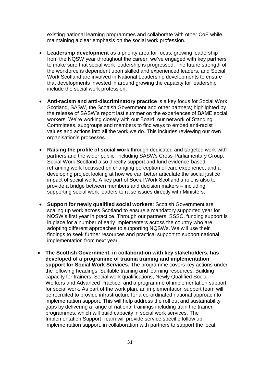existing national learning programmes and collaborate with other CoE while maintaining a clear emphasis on the social work profession.

- **Leadership development** as a priority area for focus: growing leadership from the NQSW year throughout the career, we've engaged with key partners to make sure that social work leadership is progressed. The future strength of the workforce is dependent upon skilled and experienced leaders, and Social Work Scotland are involved in National Leadership developments to ensure that developments invested in around growing the capacity for leadership include the social work profession.
- **Anti-racism and anti-discriminatory practice** is a key focus for Social Work Scotland, SASW, the Scottish Government and other partners; highlighted by the release of SASW's report last summer on the experiences of BAME social workers. We're working closely with our Board, our network of Standing Committees, subgroups and members to find ways to embed anti-racist values and actions into all the work we do. This includes reviewing our own organisation's processes.
- **Raising the profile of social work** through dedicated and targeted work with partners and the wider public, including SASWs Cross-Parliamentary Group. Social Work Scotland also directly support and fund evidence-based reframing work focussed on changing perception of care experience, and a developing project looking at how we can better articulate the social justice impact of social work. A key part of Social Work Scotland's role is also to provide a bridge between members and decision makers – including supporting social work leaders to raise issues directly with Ministers.
- **Support for newly qualified social workers**: Scottish Government are scaling up work across Scotland to ensure a mandatory supported year for NQSW's first year in practice. Through our partners, SSSC, funding support is in place for a number of early implementers across the country who are adopting different approaches to supporting NQSWs. We will use their findings to seek further resources and practical support to support national implementation from next year.
- **The Scottish Government, in collaboration with key stakeholders, has developed of a programme of trauma training and implementation support for Social Work Services.** The programme covers key actions under the following headings: Suitable training and learning resources; Building capacity for trainers; Social work qualifications, Newly Qualified Social Workers and Advanced Practice; and a programme of implementation support for social work. As part of the work plan, an implementation support team will be recruited to provide infrastructure for a co-ordinated national approach to implementation support. This will help address the roll out and sustainability gaps by delivering a range of national trainings including train the trainer programmes, which will build capacity in social work services. The Implementation Support Team will provide service specific follow up implementation support, in collaboration with partners to support the local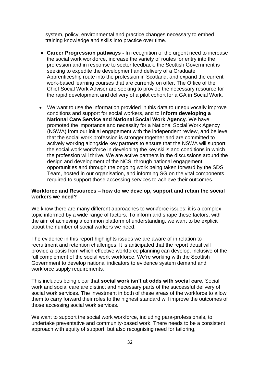system, policy, environmental and practice changes necessary to embed training knowledge and skills into practice over time.

- **Career Progression pathways -** In recognition of the urgent need to increase the social work workforce, increase the variety of routes for entry into the profession and in response to sector feedback, the Scottish Government is seeking to expedite the development and delivery of a Graduate Apprenticeship route into the profession in Scotland, and expand the current work-based learning courses that are currently on offer. The Office of the Chief Social Work Adviser are seeking to provide the necessary resource for the rapid development and delivery of a pilot cohort for a GA in Social Work.
- We want to use the information provided in this data to unequivocally improve conditions and support for social workers, and to **inform developing a National Care Service and National Social Work Agency**. We have promoted the importance and necessity for a National Social Work Agency (NSWA) from our initial engagement with the independent review, and believe that the social work profession is stronger together and are committed to actively working alongside key partners to ensure that the NSWA will support the social work workforce in developing the key skills and conditions in which the profession will thrive. We are active partners in the discussions around the design and development of the NCS, through national engagement opportunities and through the ongoing work being taken forward by the SDS Team, hosted in our organisation, and informing SG on the vital components required to support those accessing services to achieve their outcomes.

#### **Workforce and Resources – how do we develop, support and retain the social workers we need?**

We know there are many different approaches to workforce issues; it is a complex topic informed by a wide range of factors. To inform and shape these factors, with the aim of achieving a common platform of understanding, we want to be explicit about the number of social workers we need.

The evidence in this report highlights issues we are aware of in relation to recruitment and retention challenges. It is anticipated that the report detail will provide a basis from which effective workforce planning can develop, inclusive of the full complement of the social work workforce. We're working with the Scottish Government to develop national indicators to evidence system demand and workforce supply requirements.

This includes being clear that **social work isn't at odds with social care.** Social work and social care are distinct and necessary parts of the successful delivery of social work services. The investment in both of these areas of the workforce to allow them to carry forward their roles to the highest standard will improve the outcomes of those accessing social work services.

We want to support the social work workforce, including para-professionals, to undertake preventative and community-based work. There needs to be a consistent approach with equity of support, but also recognising need for tailoring,